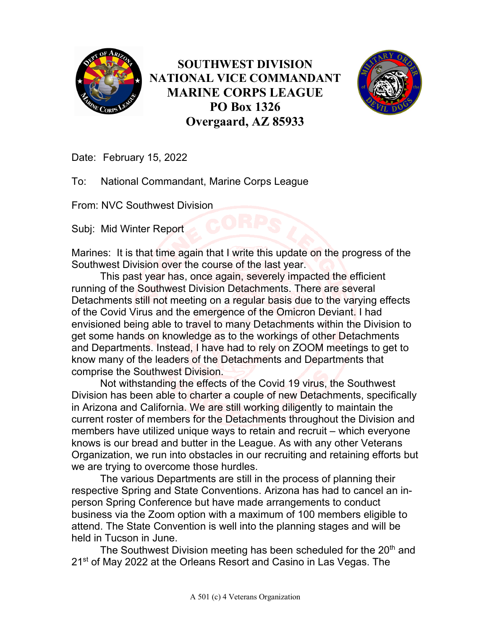

**SOUTHWEST DIVISION NATIONAL VICE COMMANDANT MARINE CORPS LEAGUE PO Box 1326 Overgaard, AZ 85933**



Date: February 15, 2022

To: National Commandant, Marine Corps League

From: NVC Southwest Division

Subj: Mid Winter Report

Marines: It is that time again that I write this update on the progress of the Southwest Division over the course of the last year.

This past year has, once again, severely impacted the efficient running of the Southwest Division Detachments. There are several Detachments still not meeting on a regular basis due to the varying effects of the Covid Virus and the emergence of the Omicron Deviant. I had envisioned being able to travel to many Detachments within the Division to get some hands on knowledge as to the workings of other Detachments and Departments. Instead, I have had to rely on ZOOM meetings to get to know many of the leaders of the Detachments and Departments that comprise the Southwest Division.

Not withstanding the effects of the Covid 19 virus, the Southwest Division has been able to charter a couple of new Detachments, specifically in Arizona and California. We are still working diligently to maintain the current roster of members for the Detachments throughout the Division and members have utilized unique ways to retain and recruit – which everyone knows is our bread and butter in the League. As with any other Veterans Organization, we run into obstacles in our recruiting and retaining efforts but we are trying to overcome those hurdles.

The various Departments are still in the process of planning their respective Spring and State Conventions. Arizona has had to cancel an inperson Spring Conference but have made arrangements to conduct business via the Zoom option with a maximum of 100 members eligible to attend. The State Convention is well into the planning stages and will be held in Tucson in June.

The Southwest Division meeting has been scheduled for the 20<sup>th</sup> and 21<sup>st</sup> of May 2022 at the Orleans Resort and Casino in Las Vegas. The